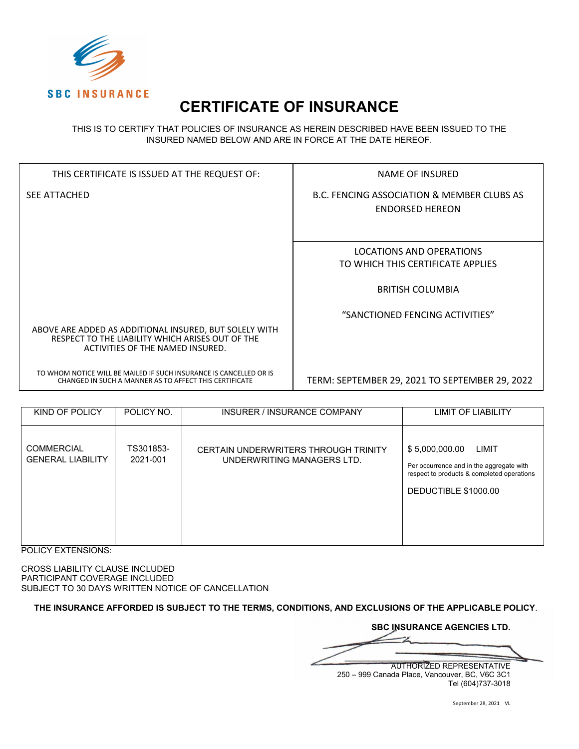

# **CERTIFICATE OF INSURANCE**

THIS IS TO CERTIFY THAT POLICIES OF INSURANCE AS HEREIN DESCRIBED HAVE BEEN ISSUED TO THE INSURED NAMED BELOW AND ARE IN FORCE AT THE DATE HEREOF.

| THIS CERTIFICATE IS ISSUED AT THE REQUEST OF:                                                                                                  | NAME OF INSURED                                                      |
|------------------------------------------------------------------------------------------------------------------------------------------------|----------------------------------------------------------------------|
| <b>SEE ATTACHED</b>                                                                                                                            | B.C. FENCING ASSOCIATION & MEMBER CLUBS AS<br><b>ENDORSED HEREON</b> |
|                                                                                                                                                |                                                                      |
|                                                                                                                                                | LOCATIONS AND OPERATIONS                                             |
|                                                                                                                                                | TO WHICH THIS CERTIFICATE APPLIES                                    |
|                                                                                                                                                |                                                                      |
|                                                                                                                                                | <b>BRITISH COLUMBIA</b>                                              |
|                                                                                                                                                |                                                                      |
|                                                                                                                                                | "SANCTIONED FENCING ACTIVITIES"                                      |
| ABOVE ARE ADDED AS ADDITIONAL INSURED, BUT SOLELY WITH<br>RESPECT TO THE LIABILITY WHICH ARISES OUT OF THE<br>ACTIVITIES OF THE NAMED INSURED. |                                                                      |
| TO WHOM NOTICE WILL BE MAILED IF SUCH INSURANCE IS CANCELLED OR IS<br>CHANGED IN SUCH A MANNER AS TO AFFECT THIS CERTIFICATE                   | TERM: SEPTEMBER 29, 2021 TO SEPTEMBER 29, 2022                       |

| KIND OF POLICY                                | POLICY NO.            | INSURER / INSURANCE COMPANY                                        | LIMIT OF LIABILITY                                                                                                                        |
|-----------------------------------------------|-----------------------|--------------------------------------------------------------------|-------------------------------------------------------------------------------------------------------------------------------------------|
| <b>COMMERCIAL</b><br><b>GENERAL LIABILITY</b> | TS301853-<br>2021-001 | CERTAIN UNDERWRITERS THROUGH TRINITY<br>UNDERWRITING MANAGERS LTD. | \$5,000,000.00<br>LIMIT<br>Per occurrence and in the aggregate with<br>respect to products & completed operations<br>DEDUCTIBLE \$1000.00 |

POLICY EXTENSIONS:

CROSS LIABILITY CLAUSE INCLUDED PARTICIPANT COVERAGE INCLUDED SUBJECT TO 30 DAYS WRITTEN NOTICE OF CANCELLATION

**THE INSURANCE AFFORDED IS SUBJECT TO THE TERMS, CONDITIONS, AND EXCLUSIONS OF THE APPLICABLE POLICY**.

**SBC INSURANCE AGENCIES LTD.**  $\mathcal{L}=\mathcal{L}=\mathcal{L}=\mathcal{L}=\mathcal{L}=\mathcal{L}=\mathcal{L}=\mathcal{L}=\mathcal{L}=\mathcal{L}=\mathcal{L}=\mathcal{L}=\mathcal{L}=\mathcal{L}=\mathcal{L}=\mathcal{L}=\mathcal{L}=\mathcal{L}=\mathcal{L}=\mathcal{L}=\mathcal{L}=\mathcal{L}=\mathcal{L}=\mathcal{L}=\mathcal{L}=\mathcal{L}=\mathcal{L}=\mathcal{L}=\mathcal{L}=\mathcal{L}=\mathcal{L}=\mathcal{L}=\mathcal{L}=\mathcal{L}=\mathcal{L}=\mathcal{L}=\mathcal{$ AUTHORIZED REPRESENTATIVE 250 – 999 Canada Place, Vancouver, BC, V6C 3C1 Tel (604)737-3018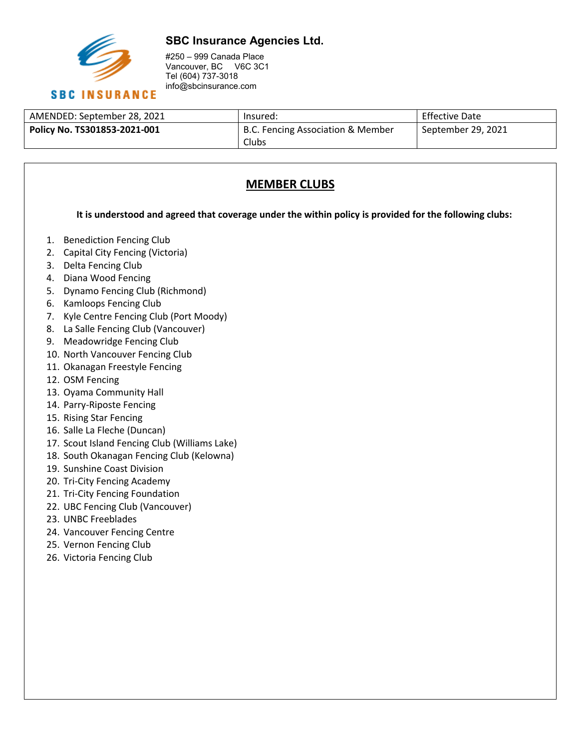

### **SBC Insurance Agencies Ltd.**

#250 – 999 Canada Place Vancouver, BC V6C 3C1 Tel (604) 737-3018 info@sbcinsurance.com

| AMENDED: September 28, 2021  | Insured:                          | Effective Date     |
|------------------------------|-----------------------------------|--------------------|
| Policy No. TS301853-2021-001 | B.C. Fencing Association & Member | September 29, 2021 |
|                              | Clubs                             |                    |

## **MEMBER CLUBS**

**It is understood and agreed that coverage under the within policy is provided for the following clubs:**

- 1. Benediction Fencing Club
- 2. Capital City Fencing (Victoria)
- 3. Delta Fencing Club
- 4. Diana Wood Fencing
- 5. Dynamo Fencing Club (Richmond)
- 6. Kamloops Fencing Club
- 7. Kyle Centre Fencing Club (Port Moody)
- 8. La Salle Fencing Club (Vancouver)
- 9. Meadowridge Fencing Club
- 10. North Vancouver Fencing Club
- 11. Okanagan Freestyle Fencing
- 12. OSM Fencing
- 13. Oyama Community Hall
- 14. Parry-Riposte Fencing
- 15. Rising Star Fencing
- 16. Salle La Fleche (Duncan)
- 17. Scout Island Fencing Club (Williams Lake)
- 18. South Okanagan Fencing Club (Kelowna)
- 19. Sunshine Coast Division
- 20. Tri-City Fencing Academy
- 21. Tri-City Fencing Foundation
- 22. UBC Fencing Club (Vancouver)
- 23. UNBC Freeblades
- 24. Vancouver Fencing Centre
- 25. Vernon Fencing Club
- 26. Victoria Fencing Club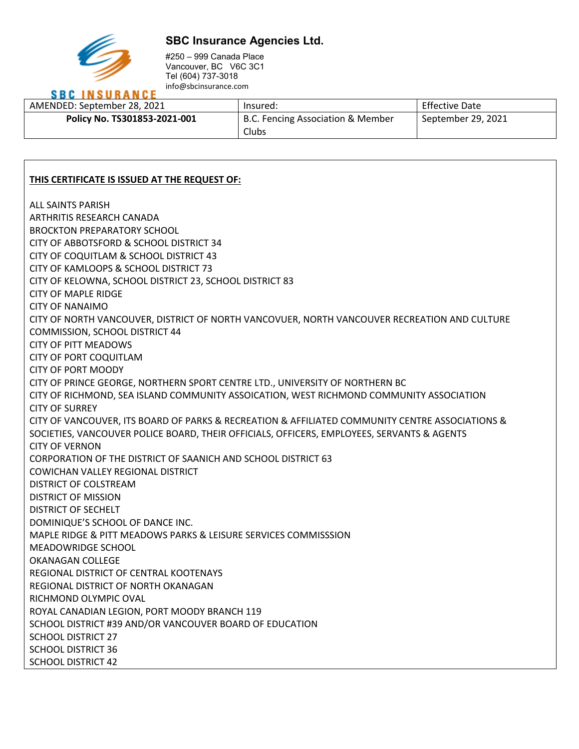

#### **SBC Insurance Agencies Ltd.**

#250 – 999 Canada Place Vancouver, BC V6C 3C1 Tel (604) 737-3018 info@sbcinsurance.com

## **SBC INSURANCE**

| AMENDED: September 28, 2021  | Insured:                                   | <b>Effective Date</b> |
|------------------------------|--------------------------------------------|-----------------------|
| Policy No. TS301853-2021-001 | B.C. Fencing Association & Member<br>Clubs | September 29, 2021    |

#### **THIS CERTIFICATE IS ISSUED AT THE REQUEST OF:**

ALL SAINTS PARISH ARTHRITIS RESEARCH CANADA BROCKTON PREPARATORY SCHOOL CITY OF ABBOTSFORD & SCHOOL DISTRICT 34 CITY OF COQUITLAM & SCHOOL DISTRICT 43 CITY OF KAMLOOPS & SCHOOL DISTRICT 73 CITY OF KELOWNA, SCHOOL DISTRICT 23, SCHOOL DISTRICT 83 CITY OF MAPLE RIDGE CITY OF NANAIMO CITY OF NORTH VANCOUVER, DISTRICT OF NORTH VANCOVUER, NORTH VANCOUVER RECREATION AND CULTURE COMMISSION, SCHOOL DISTRICT 44 CITY OF PITT MEADOWS CITY OF PORT COQUITLAM CITY OF PORT MOODY CITY OF PRINCE GEORGE, NORTHERN SPORT CENTRE LTD., UNIVERSITY OF NORTHERN BC CITY OF RICHMOND, SEA ISLAND COMMUNITY ASSOICATION, WEST RICHMOND COMMUNITY ASSOCIATION CITY OF SURREY CITY OF VANCOUVER, ITS BOARD OF PARKS & RECREATION & AFFILIATED COMMUNITY CENTRE ASSOCIATIONS & SOCIETIES, VANCOUVER POLICE BOARD, THEIR OFFICIALS, OFFICERS, EMPLOYEES, SERVANTS & AGENTS CITY OF VERNON CORPORATION OF THE DISTRICT OF SAANICH AND SCHOOL DISTRICT 63 COWICHAN VALLEY REGIONAL DISTRICT DISTRICT OF COLSTREAM DISTRICT OF MISSION DISTRICT OF SECHELT DOMINIQUE'S SCHOOL OF DANCE INC. MAPLE RIDGE & PITT MEADOWS PARKS & LEISURE SERVICES COMMISSSION MEADOWRIDGE SCHOOL OKANAGAN COLLEGE REGIONAL DISTRICT OF CENTRAL KOOTENAYS REGIONAL DISTRICT OF NORTH OKANAGAN RICHMOND OLYMPIC OVAL ROYAL CANADIAN LEGION, PORT MOODY BRANCH 119 SCHOOL DISTRICT #39 AND/OR VANCOUVER BOARD OF EDUCATION SCHOOL DISTRICT 27 SCHOOL DISTRICT 36 SCHOOL DISTRICT 42